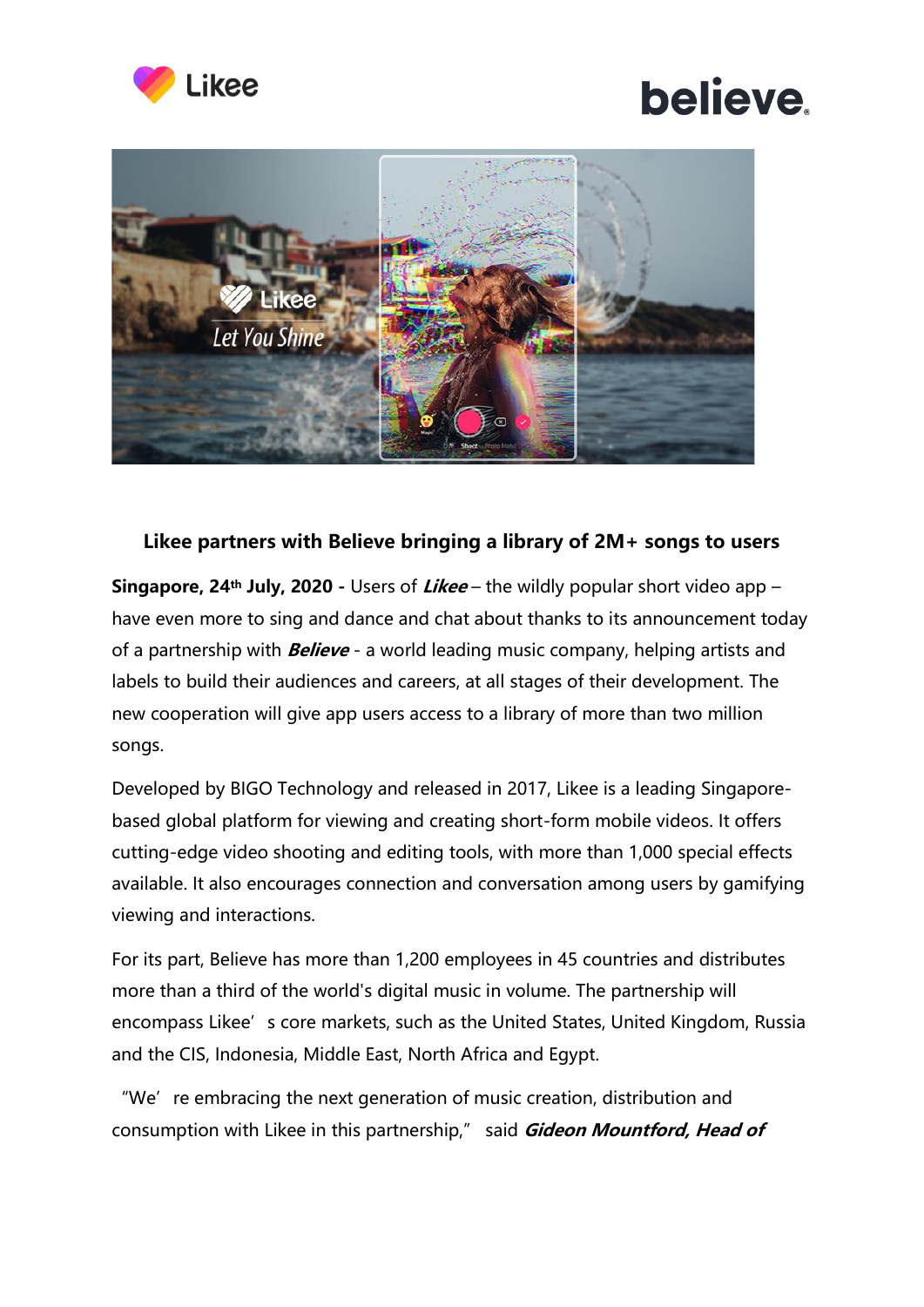

## **believe**



## **Likee partners with Believe bringing a library of 2M+ songs to users**

**Singapore, 24th July, 2020 -** Users of **Likee** – the wildly popular short video app – have even more to sing and dance and chat about thanks to its announcement today of a partnership with **Believe** - a world leading music company, helping artists and labels to build their audiences and careers, at all stages of their development. The new cooperation will give app users access to a library of more than two million songs.

Developed by BIGO Technology and released in 2017, Likee is a leading Singaporebased global platform for viewing and creating short-form mobile videos. It offers cutting-edge video shooting and editing tools, with more than 1,000 special effects available. It also encourages connection and conversation among users by gamifying viewing and interactions.

For its part, Believe has more than 1,200 employees in 45 countries and distributes more than a third of the world's digital music in volume. The partnership will encompass Likee's core markets, such as the United States, United Kingdom, Russia and the CIS, Indonesia, Middle East, North Africa and Egypt.

"We' re embracing the next generation of music creation, distribution and consumption with Likee in this partnership," said **Gideon Mountford, Head of**